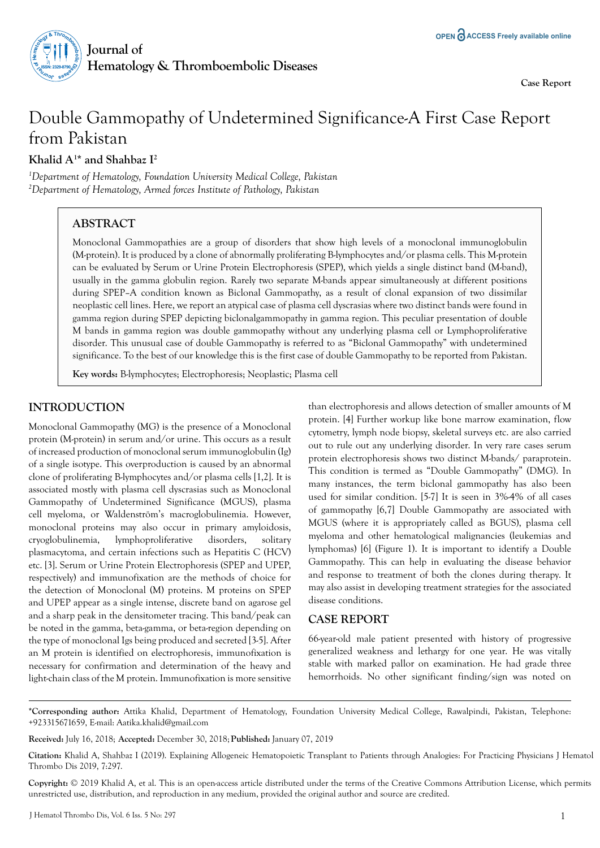

**Case Report** 

# Double Gammopathy of Undetermined Significance-A First Case Report from Pakistan

**Khalid A1 \* and Shahbaz I2**

*1 Department of Hematology, Foundation University Medical College, Pakistan 2 Department of Hematology, Armed forces Institute of Pathology, Pakistan*

# **ABSTRACT**

Monoclonal Gammopathies are a group of disorders that show high levels of a monoclonal immunoglobulin (M-protein). It is produced by a clone of abnormally proliferating B-lymphocytes and/or plasma cells. This M-protein can be evaluated by Serum or Urine Protein Electrophoresis (SPEP), which yields a single distinct band (M-band), usually in the gamma globulin region. Rarely two separate M-bands appear simultaneously at different positions during SPEP–A condition known as Biclonal Gammopathy, as a result of clonal expansion of two dissimilar neoplastic cell lines. Here, we report an atypical case of plasma cell dyscrasias where two distinct bands were found in gamma region during SPEP depicting biclonalgammopathy in gamma region. This peculiar presentation of double M bands in gamma region was double gammopathy without any underlying plasma cell or Lymphoproliferative disorder. This unusual case of double Gammopathy is referred to as "Biclonal Gammopathy" with undetermined significance. To the best of our knowledge this is the first case of double Gammopathy to be reported from Pakistan.

**Key words:** B-lymphocytes; Electrophoresis; Neoplastic; Plasma cell

## **INTRODUCTION**

Monoclonal Gammopathy (MG) is the presence of a Monoclonal protein (M-protein) in serum and/or urine. This occurs as a result of increased production of monoclonal serum immunoglobulin (Ig) of a single isotype. This overproduction is caused by an abnormal clone of proliferating B-lymphocytes and/or plasma cells [1,2]. It is associated mostly with plasma cell dyscrasias such as Monoclonal Gammopathy of Undetermined Significance (MGUS), plasma cell myeloma, or Waldenström's macroglobulinemia. However, monoclonal proteins may also occur in primary amyloidosis, cryoglobulinemia, lymphoproliferative disorders, solitary plasmacytoma, and certain infections such as Hepatitis C (HCV) etc. [3]. Serum or Urine Protein Electrophoresis (SPEP and UPEP, respectively) and immunofixation are the methods of choice for the detection of Monoclonal (M) proteins. M proteins on SPEP and UPEP appear as a single intense, discrete band on agarose gel and a sharp peak in the densitometer tracing. This band/peak can be noted in the gamma, beta-gamma, or beta-region depending on the type of monoclonal Igs being produced and secreted [3-5]. After an M protein is identified on electrophoresis, immunofixation is necessary for confirmation and determination of the heavy and light-chain class of the M protein. Immunofixation is more sensitive

than electrophoresis and allows detection of smaller amounts of M protein. [4] Further workup like bone marrow examination, flow cytometry, lymph node biopsy, skeletal surveys etc. are also carried out to rule out any underlying disorder. In very rare cases serum protein electrophoresis shows two distinct M-bands/ paraprotein. This condition is termed as "Double Gammopathy" (DMG). In many instances, the term biclonal gammopathy has also been used for similar condition. [5-7] It is seen in 3%-4% of all cases of gammopathy [6,7] Double Gammopathy are associated with MGUS (where it is appropriately called as BGUS), plasma cell myeloma and other hematological malignancies (leukemias and lymphomas) [6] (Figure 1). It is important to identify a Double Gammopathy. This can help in evaluating the disease behavior and response to treatment of both the clones during therapy. It may also assist in developing treatment strategies for the associated disease conditions.

#### **CASE REPORT**

66-year-old male patient presented with history of progressive generalized weakness and lethargy for one year. He was vitally stable with marked pallor on examination. He had grade three hemorrhoids. No other significant finding/sign was noted on

**\*Corresponding author:** Attika Khalid, Department of Hematology, Foundation University Medical College, Rawalpindi, Pakistan, Telephone: +923315671659, E-mail: Aatika.khalid@gmail.com

**Received:** July 16, 2018; **Accepted:** December 30, 2018; **Published:** January 07, 2019

**Citation:** Khalid A, Shahbaz I (2019). Explaining Allogeneic Hematopoietic Transplant to Patients through Analogies: For Practicing Physicians J Hematol Thrombo Dis 2019, 7:297.

**Copyright:** © 2019 Khalid A, et al. This is an open-access article distributed under the terms of the Creative Commons Attribution License, which permits unrestricted use, distribution, and reproduction in any medium, provided the original author and source are credited.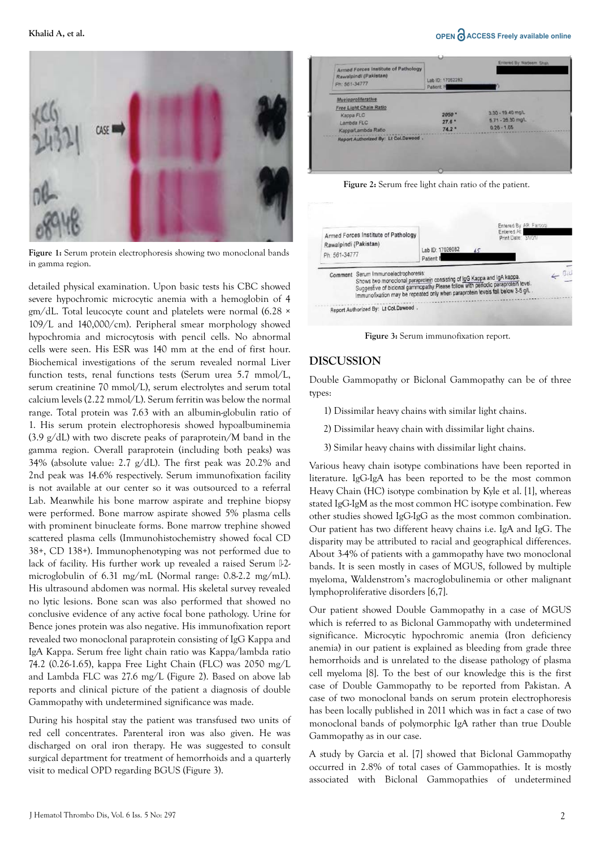#### **Khalid A, et al.** ● **COLORER Freely available online**



**Figure 1:** Serum protein electrophoresis showing two monoclonal bands in gamma region.

detailed physical examination. Upon basic tests his CBC showed severe hypochromic microcytic anemia with a hemoglobin of 4 gm/dL. Total leucocyte count and platelets were normal (6.28 × 109/L and 140,000/cm). Peripheral smear morphology showed hypochromia and microcytosis with pencil cells. No abnormal cells were seen. His ESR was 140 mm at the end of first hour. Biochemical investigations of the serum revealed normal Liver function tests, renal functions tests (Serum urea 5.7 mmol/L, serum creatinine 70 mmol/L), serum electrolytes and serum total calcium levels (2.22 mmol/L). Serum ferritin was below the normal range. Total protein was 7.63 with an albumin-globulin ratio of 1. His serum protein electrophoresis showed hypoalbuminemia  $(3.9 \text{ g/dL})$  with two discrete peaks of paraprotein/M band in the gamma region. Overall paraprotein (including both peaks) was 34% (absolute value: 2.7 g/dL). The first peak was 20.2% and 2nd peak was 14.6% respectively. Serum immunofixation facility is not available at our center so it was outsourced to a referral Lab. Meanwhile his bone marrow aspirate and trephine biopsy were performed. Bone marrow aspirate showed 5% plasma cells with prominent binucleate forms. Bone marrow trephine showed scattered plasma cells (Immunohistochemistry showed focal CD 38+, CD 138+). Immunophenotyping was not performed due to lack of facility. His further work up revealed a raised Serum <sup>[1</sup>2microglobulin of 6.31 mg/mL (Normal range: 0.8-2.2 mg/mL). His ultrasound abdomen was normal. His skeletal survey revealed no lytic lesions. Bone scan was also performed that showed no conclusive evidence of any active focal bone pathology. Urine for Bence jones protein was also negative. His immunofixation report revealed two monoclonal paraprotein consisting of IgG Kappa and IgA Kappa. Serum free light chain ratio was Kappa/lambda ratio 74.2 (0.26-1.65), kappa Free Light Chain (FLC) was 2050 mg/L and Lambda FLC was 27.6 mg/L (Figure 2). Based on above lab reports and clinical picture of the patient a diagnosis of double Gammopathy with undetermined significance was made.

During his hospital stay the patient was transfused two units of red cell concentrates. Parenteral iron was also given. He was discharged on oral iron therapy. He was suggested to consult surgical department for treatment of hemorrhoids and a quarterly visit to medical OPD regarding BGUS (Figure 3).



**Figure 2:** Serum free light chain ratio of the patient.



**Figure 3:** Serum immunofixation report.

#### **DISCUSSION**

Double Gammopathy or Biclonal Gammopathy can be of three types:

- 1) Dissimilar heavy chains with similar light chains.
- 2) Dissimilar heavy chain with dissimilar light chains.
- 3) Similar heavy chains with dissimilar light chains.

Various heavy chain isotype combinations have been reported in literature. IgG-IgA has been reported to be the most common Heavy Chain (HC) isotype combination by Kyle et al. [1], whereas stated IgG-IgM as the most common HC isotype combination. Few other studies showed IgG-IgG as the most common combination. Our patient has two different heavy chains i.e. IgA and IgG. The disparity may be attributed to racial and geographical differences. About 3-4% of patients with a gammopathy have two monoclonal bands. It is seen mostly in cases of MGUS, followed by multiple myeloma, Waldenstrom's macroglobulinemia or other malignant lymphoproliferative disorders [6,7].

Our patient showed Double Gammopathy in a case of MGUS which is referred to as Biclonal Gammopathy with undetermined significance. Microcytic hypochromic anemia (Iron deficiency anemia) in our patient is explained as bleeding from grade three hemorrhoids and is unrelated to the disease pathology of plasma cell myeloma [8]. To the best of our knowledge this is the first case of Double Gammopathy to be reported from Pakistan. A case of two monoclonal bands on serum protein electrophoresis has been locally published in 2011 which was in fact a case of two monoclonal bands of polymorphic IgA rather than true Double Gammopathy as in our case.

A study by Garcia et al. [7] showed that Biclonal Gammopathy occurred in 2.8% of total cases of Gammopathies. It is mostly associated with Biclonal Gammopathies of undetermined